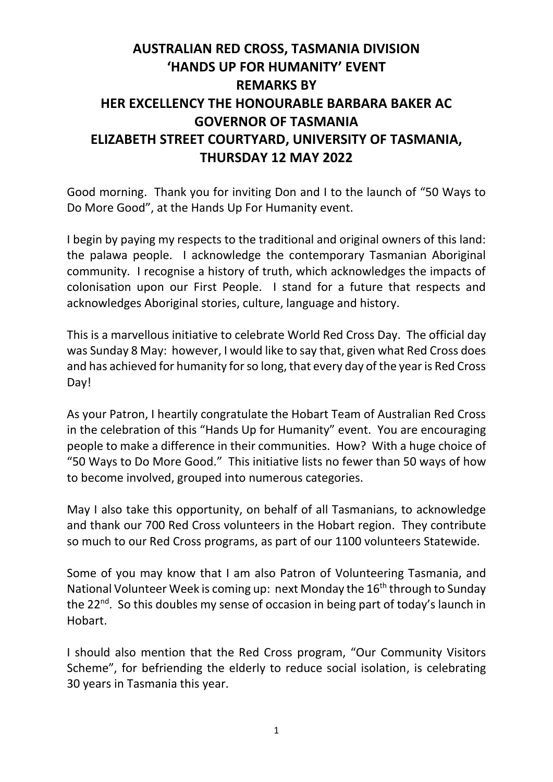## **AUSTRALIAN RED CROSS, TASMANIA DIVISION 'HANDS UP FOR HUMANITY' EVENT REMARKS BY HER EXCELLENCY THE HONOURABLE BARBARA BAKER AC GOVERNOR OF TASMANIA ELIZABETH STREET COURTYARD, UNIVERSITY OF TASMANIA, THURSDAY 12 MAY 2022**

Good morning. Thank you for inviting Don and I to the launch of "50 Ways to Do More Good", at the Hands Up For Humanity event.

I begin by paying my respects to the traditional and original owners of this land: the palawa people. I acknowledge the contemporary Tasmanian Aboriginal community. I recognise a history of truth, which acknowledges the impacts of colonisation upon our First People. I stand for a future that respects and acknowledges Aboriginal stories, culture, language and history.

This is a marvellous initiative to celebrate World Red Cross Day. The official day was Sunday 8 May: however, I would like to say that, given what Red Cross does and has achieved for humanity for so long, that every day of the year is Red Cross Day!

As your Patron, I heartily congratulate the Hobart Team of Australian Red Cross in the celebration of this "Hands Up for Humanity" event. You are encouraging people to make a difference in their communities. How? With a huge choice of "50 Ways to Do More Good." This initiative lists no fewer than 50 ways of how to become involved, grouped into numerous categories.

May I also take this opportunity, on behalf of all Tasmanians, to acknowledge and thank our 700 Red Cross volunteers in the Hobart region. They contribute so much to our Red Cross programs, as part of our 1100 volunteers Statewide.

Some of you may know that I am also Patron of Volunteering Tasmania, and National Volunteer Week is coming up: next Monday the 16<sup>th</sup> through to Sunday the 22<sup>nd</sup>. So this doubles my sense of occasion in being part of today's launch in Hobart.

I should also mention that the Red Cross program, "Our Community Visitors Scheme", for befriending the elderly to reduce social isolation, is celebrating 30 years in Tasmania this year.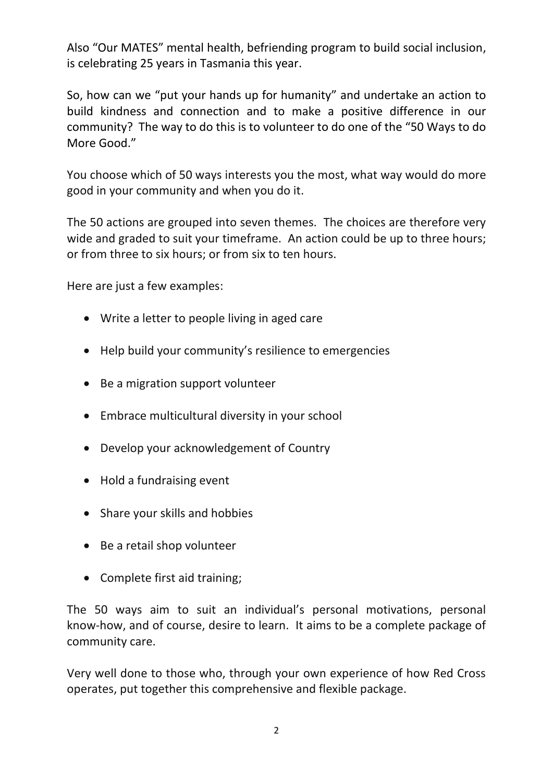Also "Our MATES" mental health, befriending program to build social inclusion, is celebrating 25 years in Tasmania this year.

So, how can we "put your hands up for humanity" and undertake an action to build kindness and connection and to make a positive difference in our community? The way to do this is to volunteer to do one of the "50 Ways to do More Good."

You choose which of 50 ways interests you the most, what way would do more good in your community and when you do it.

The 50 actions are grouped into seven themes. The choices are therefore very wide and graded to suit your timeframe. An action could be up to three hours; or from three to six hours; or from six to ten hours.

Here are just a few examples:

- Write a letter to people living in aged care
- Help build your community's resilience to emergencies
- Be a migration support volunteer
- Embrace multicultural diversity in your school
- Develop your acknowledgement of Country
- Hold a fundraising event
- Share your skills and hobbies
- Be a retail shop volunteer
- Complete first aid training;

The 50 ways aim to suit an individual's personal motivations, personal know-how, and of course, desire to learn. It aims to be a complete package of community care.

Very well done to those who, through your own experience of how Red Cross operates, put together this comprehensive and flexible package.